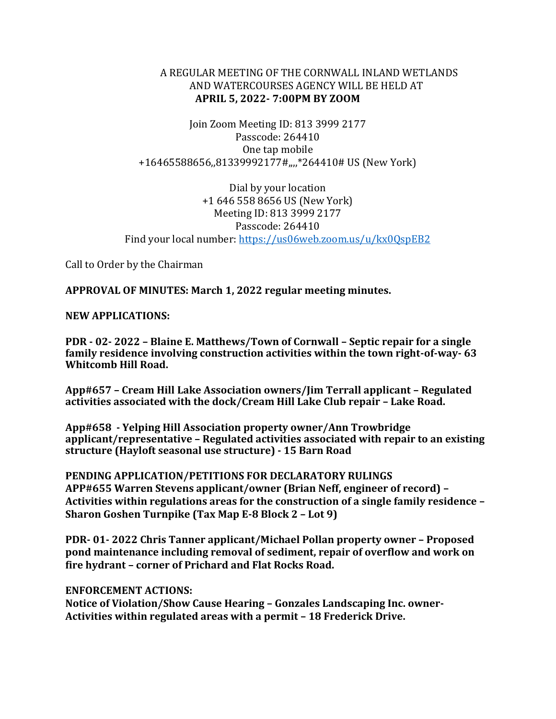## A REGULAR MEETING OF THE CORNWALL INLAND WETLANDS AND WATERCOURSES AGENCY WILL BE HELD AT **APRIL 5, 2022- 7:00PM BY ZOOM**

Join Zoom Meeting ID: 813 3999 2177 Passcode: 264410 One tap mobile +16465588656,,81339992177#,,,,\*264410# US (New York)

Dial by your location +1 646 558 8656 US (New York) Meeting ID: 813 3999 2177 Passcode: 264410 Find your local number:<https://us06web.zoom.us/u/kx0QspEB2>

Call to Order by the Chairman

**APPROVAL OF MINUTES: March 1, 2022 regular meeting minutes.** 

## **NEW APPLICATIONS:**

**PDR - 02- 2022 – Blaine E. Matthews/Town of Cornwall – Septic repair for a single family residence involving construction activities within the town right-of-way- 63 Whitcomb Hill Road.** 

**App#657 – Cream Hill Lake Association owners/Jim Terrall applicant – Regulated activities associated with the dock/Cream Hill Lake Club repair – Lake Road.** 

**App#658 - Yelping Hill Association property owner/Ann Trowbridge applicant/representative – Regulated activities associated with repair to an existing structure (Hayloft seasonal use structure) - 15 Barn Road** 

**PENDING APPLICATION/PETITIONS FOR DECLARATORY RULINGS APP#655 Warren Stevens applicant/owner (Brian Neff, engineer of record) – Activities within regulations areas for the construction of a single family residence – Sharon Goshen Turnpike (Tax Map E-8 Block 2 – Lot 9)** 

**PDR- 01- 2022 Chris Tanner applicant/Michael Pollan property owner – Proposed pond maintenance including removal of sediment, repair of overflow and work on fire hydrant – corner of Prichard and Flat Rocks Road.** 

## **ENFORCEMENT ACTIONS:**

**Notice of Violation/Show Cause Hearing – Gonzales Landscaping Inc. owner-Activities within regulated areas with a permit – 18 Frederick Drive.**